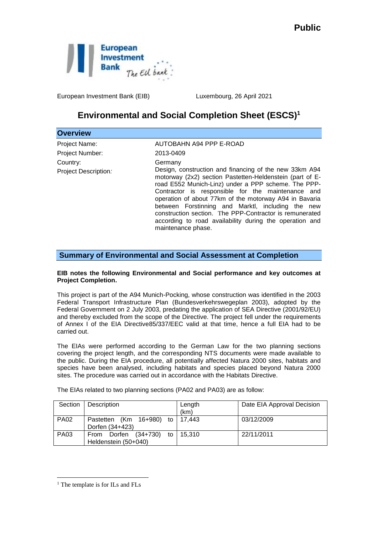

European Investment Bank (EIB) Luxembourg, 26 April 2021

## **Environmental and Social Completion Sheet (ESCS)<sup>1</sup>**

| <b>Overview</b>      |                                                                                                                                                                                                                                                                                                                                                                                                                                                                                           |
|----------------------|-------------------------------------------------------------------------------------------------------------------------------------------------------------------------------------------------------------------------------------------------------------------------------------------------------------------------------------------------------------------------------------------------------------------------------------------------------------------------------------------|
| Project Name:        | AUTOBAHN A94 PPP E-ROAD                                                                                                                                                                                                                                                                                                                                                                                                                                                                   |
| Project Number:      | 2013-0409                                                                                                                                                                                                                                                                                                                                                                                                                                                                                 |
| Country:             | Germany                                                                                                                                                                                                                                                                                                                                                                                                                                                                                   |
| Project Description: | Design, construction and financing of the new 33km A94<br>motorway (2x2) section Pastetten-Heldenstein (part of E-<br>road E552 Munich-Linz) under a PPP scheme. The PPP-<br>Contractor is responsible for the maintenance and<br>operation of about 77km of the motorway A94 in Bavaria<br>between Forstinning and Marktl, including the new<br>construction section. The PPP-Contractor is remunerated<br>according to road availability during the operation and<br>maintenance phase. |

**Summary of Environmental and Social Assessment at Completion**

## **EIB notes the following Environmental and Social performance and key outcomes at Project Completion.**

This project is part of the A94 Munich-Pocking, whose construction was identified in the 2003 Federal Transport Infrastructure Plan (Bundesverkehrswegeplan 2003), adopted by the Federal Government on 2 July 2003, predating the application of SEA Directive (2001/92/EU) and thereby excluded from the scope of the Directive. The project fell under the requirements of Annex I of the EIA Directive85/337/EEC valid at that time, hence a full EIA had to be carried out.

The EIAs were performed according to the German Law for the two planning sections covering the project length, and the corresponding NTS documents were made available to the public. During the EIA procedure, all potentially affected Natura 2000 sites, habitats and species have been analysed, including habitats and species placed beyond Natura 2000 sites. The procedure was carried out in accordance with the Habitats Directive.

| Section     | Description                               | Length | Date EIA Approval Decision |
|-------------|-------------------------------------------|--------|----------------------------|
|             |                                           | (km)   |                            |
| <b>PA02</b> | Pastetten (Km 16+980) to                  | 17.443 | 03/12/2009                 |
|             | Dorfen (34+423)                           |        |                            |
| <b>PA03</b> | $(34+730)$<br>Dorfen<br>to<br><b>From</b> | 15.310 | 22/11/2011                 |
|             | Heldenstein (50+040)                      |        |                            |

The EIAs related to two planning sections (PA02 and PA03) are as follow:

<u>.</u>

<sup>&</sup>lt;sup>1</sup> The template is for ILs and FLs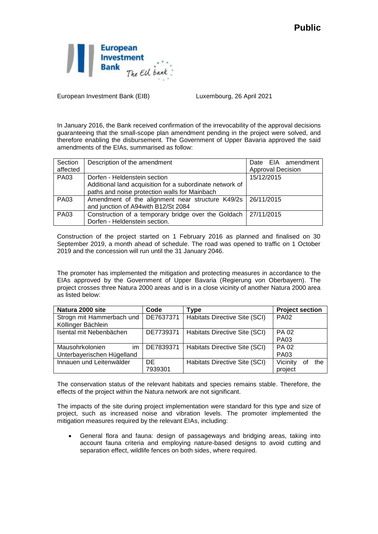

European Investment Bank (EIB) Luxembourg, 26 April 2021

In January 2016, the Bank received confirmation of the irrevocability of the approval decisions guaranteeing that the small-scope plan amendment pending in the project were solved, and therefore enabling the disbursement. The Government of Upper Bavaria approved the said amendments of the EIAs, summarised as follow:

| Section     | Description of the amendment                                   | Date EIA amendment       |
|-------------|----------------------------------------------------------------|--------------------------|
| affected    |                                                                | <b>Approval Decision</b> |
| <b>PA03</b> | Dorfen - Heldenstein section                                   | 15/12/2015               |
|             | Additional land acquisition for a subordinate network of       |                          |
|             | paths and noise protection walls for Mainbach                  |                          |
| <b>PA03</b> | Amendment of the alignment near structure K49/2s   26/11/2015  |                          |
|             | and junction of A94with B12/St 2084                            |                          |
| <b>PA03</b> | Construction of a temporary bridge over the Goldach 27/11/2015 |                          |
|             | Dorfen - Heldenstein section.                                  |                          |

Construction of the project started on 1 February 2016 as planned and finalised on 30 September 2019, a month ahead of schedule. The road was opened to traffic on 1 October 2019 and the concession will run until the 31 January 2046.

The promoter has implemented the mitigation and protecting measures in accordance to the EIAs approved by the Government of Upper Bavaria (Regierung von Oberbayern). The project crosses three Natura 2000 areas and is in a close vicinity of another Natura 2000 area as listed below:

| Natura 2000 site           | Code      | Type                          | <b>Project section</b> |
|----------------------------|-----------|-------------------------------|------------------------|
| Strogn mit Hammerbach und  | DE7637371 | Habitats Directive Site (SCI) | <b>PA02</b>            |
| Köllinger Bächlein         |           |                               |                        |
| Isental mit Nebenbächen    | DE7739371 | Habitats Directive Site (SCI) | PA 02                  |
|                            |           |                               | <b>PA03</b>            |
| Mausohrkolonien<br>im      | DE7839371 | Habitats Directive Site (SCI) | <b>PA 02</b>           |
| Unterbayerischen Hügelland |           |                               | <b>PA03</b>            |
| Innauen und Leitenwälder   | DE        | Habitats Directive Site (SCI) | Vicinity<br>the        |
|                            | 7939301   |                               | project                |

The conservation status of the relevant habitats and species remains stable. Therefore, the effects of the project within the Natura network are not significant.

The impacts of the site during project implementation were standard for this type and size of project, such as increased noise and vibration levels. The promoter implemented the mitigation measures required by the relevant EIAs, including:

 General flora and fauna: design of passageways and bridging areas, taking into account fauna criteria and employing nature-based designs to avoid cutting and separation effect, wildlife fences on both sides, where required.